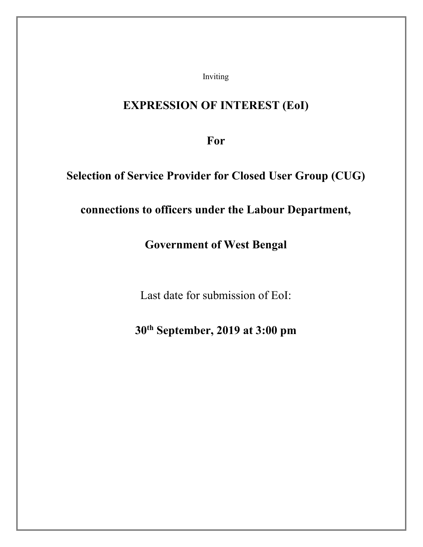Inviting

# **EXPRESSION OF INTEREST (EoI)**

**For**

## **Selection of Service Provider for Closed User Group (CUG)**

## **connections to officers under the Labour Department,**

## **Government of West Bengal**

Last date for submission of EoI:

# **30th September, 2019 at 3:00 pm**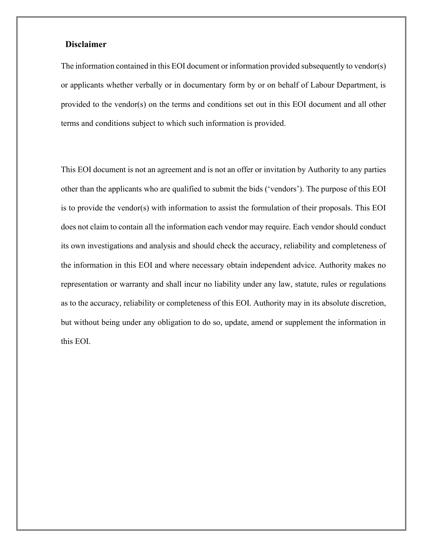#### **Disclaimer**

The information contained in this EOI document or information provided subsequently to vendor(s) or applicants whether verbally or in documentary form by or on behalf of Labour Department, is provided to the vendor(s) on the terms and conditions set out in this EOI document and all other terms and conditions subject to which such information is provided.

This EOI document is not an agreement and is not an offer or invitation by Authority to any parties other than the applicants who are qualified to submit the bids ('vendors'). The purpose of this EOI is to provide the vendor(s) with information to assist the formulation of their proposals. This EOI does not claim to contain all the information each vendor may require. Each vendor should conduct its own investigations and analysis and should check the accuracy, reliability and completeness of the information in this EOI and where necessary obtain independent advice. Authority makes no representation or warranty and shall incur no liability under any law, statute, rules or regulations as to the accuracy, reliability or completeness of this EOI. Authority may in its absolute discretion, but without being under any obligation to do so, update, amend or supplement the information in this EOI.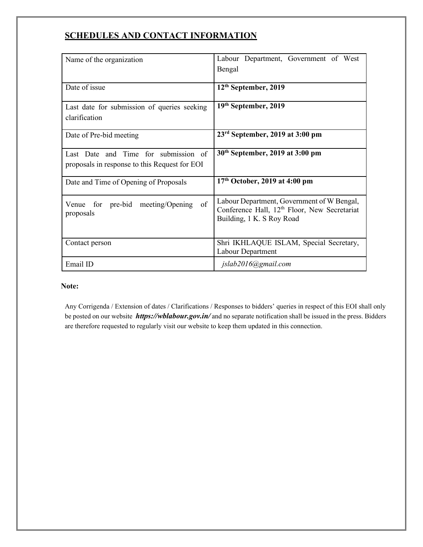## **SCHEDULES AND CONTACT INFORMATION**

| Name of the organization                                                              | Labour Department, Government of West<br>Bengal                                                                                     |
|---------------------------------------------------------------------------------------|-------------------------------------------------------------------------------------------------------------------------------------|
| Date of issue                                                                         | $12th$ September, 2019                                                                                                              |
| Last date for submission of queries seeking<br>clarification                          | 19 <sup>th</sup> September, 2019                                                                                                    |
| Date of Pre-bid meeting                                                               | $23rd$ September, 2019 at 3:00 pm                                                                                                   |
| Last Date and Time for submission of<br>proposals in response to this Request for EOI | 30 <sup>th</sup> September, 2019 at 3:00 pm                                                                                         |
| Date and Time of Opening of Proposals                                                 | 17th October, 2019 at 4:00 pm                                                                                                       |
| of<br>meeting/Opening<br>for pre-bid<br>Venue<br>proposals                            | Labour Department, Government of W Bengal,<br>Conference Hall, 12 <sup>th</sup> Floor, New Secretariat<br>Building, 1 K. S Roy Road |
| Contact person                                                                        | Shri IKHLAQUE ISLAM, Special Secretary,<br>Labour Department                                                                        |
| Email ID                                                                              | jslab2016@gmail.com                                                                                                                 |

#### **Note:**

Any Corrigenda / Extension of dates / Clarifications / Responses to bidders' queries in respect of this EOI shall only be posted on our website *[https://wblabour.gov.in/](http://www.pfrda.org.in/)* and no separate notification shall be issued in the press. Bidders are therefore requested to regularly visit our website to keep them updated in this connection.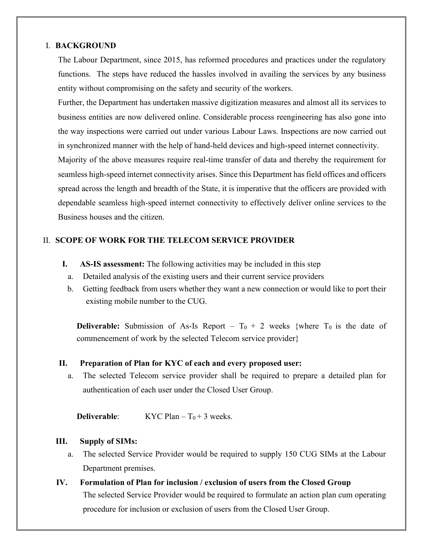#### I. **BACKGROUND**

The Labour Department, since 2015, has reformed procedures and practices under the regulatory functions. The steps have reduced the hassles involved in availing the services by any business entity without compromising on the safety and security of the workers.

Further, the Department has undertaken massive digitization measures and almost all its services to business entities are now delivered online. Considerable process reengineering has also gone into the way inspections were carried out under various Labour Laws. Inspections are now carried out in synchronized manner with the help of hand-held devices and high-speed internet connectivity.

Majority of the above measures require real-time transfer of data and thereby the requirement for seamless high-speed internet connectivity arises. Since this Department has field offices and officers spread across the length and breadth of the State, it is imperative that the officers are provided with dependable seamless high-speed internet connectivity to effectively deliver online services to the Business houses and the citizen.

### II. **SCOPE OF WORK FOR THE TELECOM SERVICE PROVIDER**

- **I. AS-IS assessment:** The following activities may be included in this step
	- a. Detailed analysis of the existing users and their current service providers
	- b. Getting feedback from users whether they want a new connection or would like to port their existing mobile number to the CUG.

**Deliverable:** Submission of As-Is Report –  $T_0 + 2$  weeks {where  $T_0$  is the date of commencement of work by the selected Telecom service provider}

### **II. Preparation of Plan for KYC of each and every proposed user:**

a. The selected Telecom service provider shall be required to prepare a detailed plan for authentication of each user under the Closed User Group.

**Deliverable:** KYC Plan –  $T_0 + 3$  weeks.

#### **III. Supply of SIMs:**

- a. The selected Service Provider would be required to supply 150 CUG SIMs at the Labour Department premises.
- **IV. Formulation of Plan for inclusion / exclusion of users from the Closed Group** The selected Service Provider would be required to formulate an action plan cum operating procedure for inclusion or exclusion of users from the Closed User Group.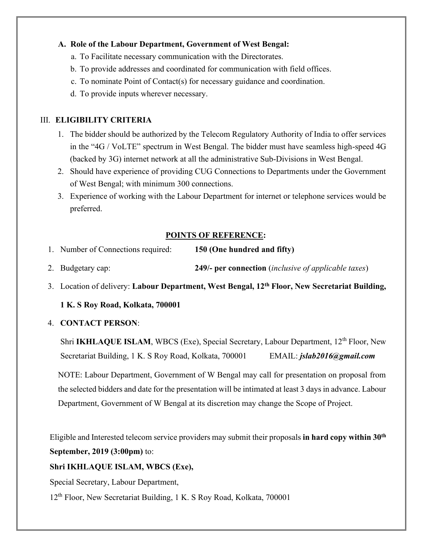#### **A. Role of the Labour Department, Government of West Bengal:**

- a. To Facilitate necessary communication with the Directorates.
- b. To provide addresses and coordinated for communication with field offices.
- c. To nominate Point of Contact(s) for necessary guidance and coordination.
- d. To provide inputs wherever necessary.

## III. **ELIGIBILITY CRITERIA**

- 1. The bidder should be authorized by the Telecom Regulatory Authority of India to offer services in the "4G / VoLTE" spectrum in West Bengal. The bidder must have seamless high-speed 4G (backed by 3G) internet network at all the administrative Sub-Divisions in West Bengal.
- 2. Should have experience of providing CUG Connections to Departments under the Government of West Bengal; with minimum 300 connections.
- 3. Experience of working with the Labour Department for internet or telephone services would be preferred.

### **POINTS OF REFERENCE:**

- 1. Number of Connections required: **150 (One hundred and fifty)**
- 2. Budgetary cap: **249/- per connection** (*inclusive of applicable taxes*)
- 3. Location of delivery: **Labour Department, West Bengal, 12th Floor, New Secretariat Building,**

### **1 K. S Roy Road, Kolkata, 700001**

4. **CONTACT PERSON**:

Shri **IKHLAQUE ISLAM**, WBCS (Exe), Special Secretary, Labour Department, 12<sup>th</sup> Floor, New Secretariat Building, 1 K. S Roy Road, Kolkata, 700001 EMAIL: *jslab2016@gmail.com*

NOTE: Labour Department, Government of W Bengal may call for presentation on proposal from the selected bidders and date for the presentation will be intimated at least 3 days in advance. Labour Department, Government of W Bengal at its discretion may change the Scope of Project.

Eligible and Interested telecom service providers may submit their proposals **in hard copy within 30th September, 2019 (3:00pm)** to:

### **Shri IKHLAQUE ISLAM, WBCS (Exe),**

Special Secretary, Labour Department,

12th Floor, New Secretariat Building, 1 K. S Roy Road, Kolkata, 700001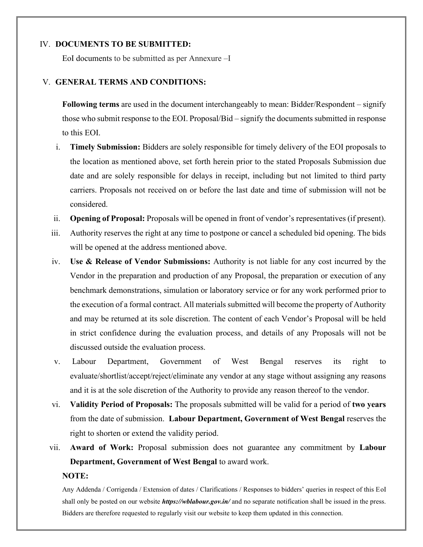#### IV. **DOCUMENTS TO BE SUBMITTED:**

EoI documents to be submitted as per Annexure –I

#### V. **GENERAL TERMS AND CONDITIONS:**

**Following terms** are used in the document interchangeably to mean: Bidder/Respondent – signify those who submit response to the EOI. Proposal/Bid – signify the documents submitted in response to this EOI.

- i. **Timely Submission:** Bidders are solely responsible for timely delivery of the EOI proposals to the location as mentioned above, set forth herein prior to the stated Proposals Submission due date and are solely responsible for delays in receipt, including but not limited to third party carriers. Proposals not received on or before the last date and time of submission will not be considered.
- ii. **Opening of Proposal:** Proposals will be opened in front of vendor's representatives (if present).
- iii. Authority reserves the right at any time to postpone or cancel a scheduled bid opening. The bids will be opened at the address mentioned above.
- iv. **Use & Release of Vendor Submissions:** Authority is not liable for any cost incurred by the Vendor in the preparation and production of any Proposal, the preparation or execution of any benchmark demonstrations, simulation or laboratory service or for any work performed prior to the execution of a formal contract. All materials submitted will become the property of Authority and may be returned at its sole discretion. The content of each Vendor's Proposal will be held in strict confidence during the evaluation process, and details of any Proposals will not be discussed outside the evaluation process.
- v. Labour Department, Government of West Bengal reserves its right to evaluate/shortlist/accept/reject/eliminate any vendor at any stage without assigning any reasons and it is at the sole discretion of the Authority to provide any reason thereof to the vendor.
- vi. **Validity Period of Proposals:** The proposals submitted will be valid for a period of **two years** from the date of submission. **Labour Department, Government of West Bengal** reserves the right to shorten or extend the validity period.
- vii. **Award of Work:** Proposal submission does not guarantee any commitment by **Labour Department, Government of West Bengal** to award work.

#### **NOTE:**

Any Addenda / Corrigenda / Extension of dates / Clarifications / Responses to bidders' queries in respect of this EoI shall only be posted on our website *https://wblabour.gov.in/* and no separate notification shall be issued in the press. Bidders are therefore requested to regularly visit our website to keep them updated in this connection.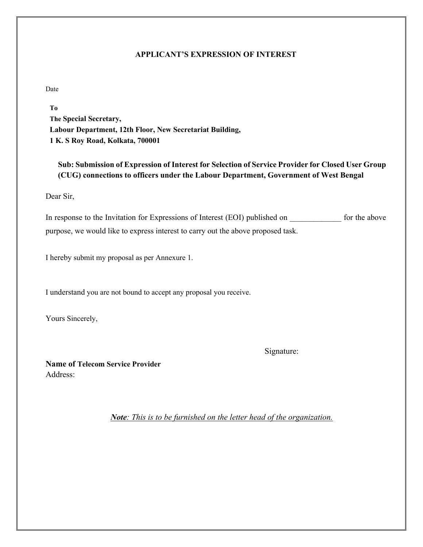#### **APPLICANT'S EXPRESSION OF INTEREST**

Date

**To The Special Secretary, Labour Department, 12th Floor, New Secretariat Building, 1 K. S Roy Road, Kolkata, 700001**

**Sub: Submission of Expression of Interest for Selection of Service Provider for Closed User Group (CUG) connections to officers under the Labour Department, Government of West Bengal**

Dear Sir,

In response to the Invitation for Expressions of Interest (EOI) published on \_\_\_\_\_\_\_\_\_\_\_\_\_ for the above purpose, we would like to express interest to carry out the above proposed task.

I hereby submit my proposal as per Annexure 1.

I understand you are not bound to accept any proposal you receive.

Yours Sincerely,

Signature:

**Name of Telecom Service Provider** Address:

*Note: This is to be furnished on the letter head of the organization.*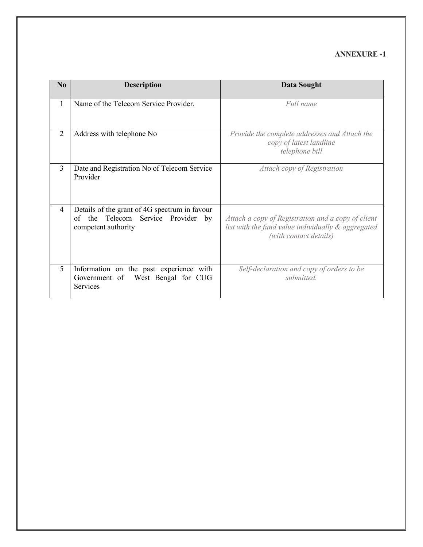#### **ANNEXURE -1**

| N <sub>0</sub> | <b>Description</b>                                                                                         | <b>Data Sought</b>                                                                                                                 |
|----------------|------------------------------------------------------------------------------------------------------------|------------------------------------------------------------------------------------------------------------------------------------|
| $\mathbf{1}$   | Name of the Telecom Service Provider.                                                                      | Full name                                                                                                                          |
| $\overline{2}$ | Address with telephone No                                                                                  | Provide the complete addresses and Attach the<br>copy of latest landline<br>telephone bill                                         |
| $\overline{3}$ | Date and Registration No of Telecom Service<br>Provider                                                    | Attach copy of Registration                                                                                                        |
| $\overline{4}$ | Details of the grant of 4G spectrum in favour<br>of the Telecom Service Provider by<br>competent authority | Attach a copy of Registration and a copy of client<br>list with the fund value individually & aggregated<br>(with contact details) |
| 5              | Information on the past experience with<br>Government of West Bengal for CUG<br><b>Services</b>            | Self-declaration and copy of orders to be<br>submitted.                                                                            |